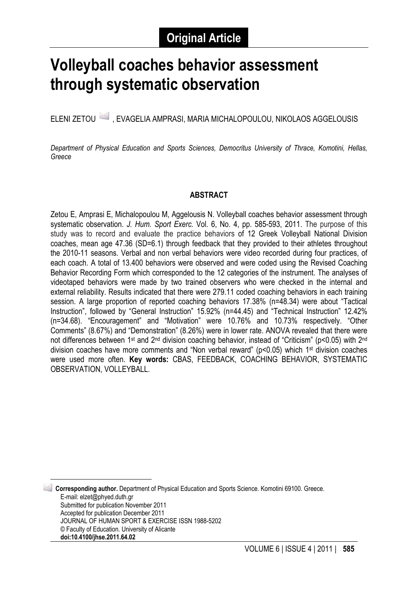# **Volleyball coaches behavior assessment through systematic observation**

ELENI ZETOU 4 , EVAGELIA AMPRASI, MARIA MICHALOPOULOU, NIKOLAOS AGGELOUSIS

*Department of Physical Education and Sports Sciences, Democritus University of Thrace, Komotini, Hellas, Greece*

#### **ABSTRACT**

Zetou E, Amprasi E, Michalopoulou M, Aggelousis N. Volleyball coaches behavior assessment through systematic observation. *J. Hum. Sport Exerc.* Vol. 6, No. 4, pp. 585-593, 2011. The purpose of this study was to record and evaluate the practice behaviors of 12 Greek Volleyball National Division coaches, mean age 47.36 (SD=6.1) through feedback that they provided to their athletes throughout the 2010-11 seasons. Verbal and non verbal behaviors were video recorded during four practices, of each coach. A total of 13.400 behaviors were observed and were coded using the Revised Coaching Behavior Recording Form which corresponded to the 12 categories of the instrument. The analyses of videotaped behaviors were made by two trained observers who were checked in the internal and external reliability. Results indicated that there were 279.11 coded coaching behaviors in each training session. A large proportion of reported coaching behaviors 17.38% (n=48.34) were about "Tactical Instruction", followed by "General Instruction" 15.92% (n=44.45) and "Technical Instruction" 12.42% (n=34.68). "Encouragement" and "Motivation" were 10.76% and 10.73% respectively. "Other Comments" (8.67%) and "Demonstration" (8.26%) were in lower rate. ANOVA revealed that there were not differences between 1<sup>st</sup> and 2<sup>nd</sup> division coaching behavior, instead of "Criticism" (p<0.05) with 2<sup>nd</sup> division coaches have more comments and "Non verbal reward" (p<0.05) which 1st division coaches were used more often. **Key words:** CBAS, FEEDBACK, COACHING BEHAVIOR, SYSTEMATIC OBSERVATION, VOLLEYBALL.

<span id="page-0-0"></span> 1 **Corresponding author.** Department of Physical Education and Sports Science. Komotini 69100. Greece. E-mail: elzet@phyed.duth.gr Submitted for publication November 2011 Accepted for publication December 2011 JOURNAL OF HUMAN SPORT & EXERCISE ISSN 1988-5202 © Faculty of Education. University of Alicante **doi:10.4100/jhse.2011.64.02**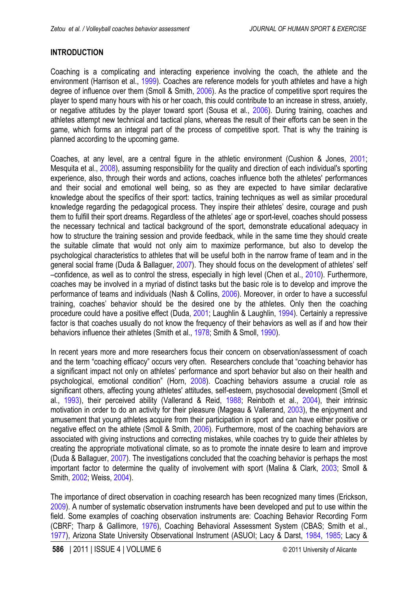## <span id="page-1-0"></span>**INTRODUCTION**

Coaching is a complicating and interacting experience involving the coach, the athlete and the environment (Harrison et al., [1999](#page-6-0)). Coaches are reference models for youth athletes and have a high degree of influence over them (Smoll & Smith, [2006\)](#page-7-0). As the practice of competitive sport requires the player to spend many hours with his or her coach, this could contribute to an increase in stress, anxiety, or negative attitudes by the player toward sport (Sousa et al., [2006\)](#page-8-0). During training, coaches and athletes attempt new technical and tactical plans, whereas the result of their efforts can be seen in the game, which forms an integral part of the process of competitive sport. That is why the training is planned according to the upcoming game.

Coaches, at any level, are a central figure in the athletic environment (Cushion & Jones, [2001;](#page-6-0) Mesquita et al., [2008](#page-7-0)), assuming responsibility for the quality and direction of each individual's sporting experience, also, through their words and actions, coaches influence both the athletes' performances and their social and emotional well being, so as they are expected to have similar declarative knowledge about the specifics of their sport: tactics, training techniques as well as similar procedural knowledge regarding the pedagogical process. They inspire their athletes' desire, courage and push them to fulfill their sport dreams. Regardless of the athletes' age or sport-level, coaches should possess the necessary technical and tactical background of the sport, demonstrate educational adequacy in how to structure the training session and provide feedback, while in the same time they should create the suitable climate that would not only aim to maximize performance, but also to develop the psychological characteristics to athletes that will be useful both in the narrow frame of team and in the general social frame (Duda & Ballaguer, [2007](#page-6-0)). They should focus on the development of athletes' self –confidence, as well as to control the stress, especially in high level (Chen et al., [2010](#page-6-0)). Furthermore, coaches may be involved in a myriad of distinct tasks but the basic role is to develop and improve the performance of teams and individuals (Nash & Collins, [2006](#page-7-0)). Moreover, in order to have a successful training, coaches' behavior should be the desired one by the athletes. Only then the coaching procedure could have a positive effect (Duda, [2001](#page-6-0); Laughlin & Laughlin, [1994](#page-7-0)). Certainly a repressive factor is that coaches usually do not know the frequency of their behaviors as well as if and how their behaviors influence their athletes (Smith et al., [1978;](#page-7-0) Smith & Smoll, [1990](#page-7-0)).

In recent years more and more researchers focus their concern on observation/assessment of coach and the term "coaching efficacy" occurs very often. Researchers conclude that "coaching behavior has a significant impact not only on athletes' performance and sport behavior but also on their health and psychological, emotional condition" (Horn, 2008). Coaching behaviors assume a crucial role as significant others, affecting young athletes' attitudes, self-esteem, psychosocial development (Smoll et al., [1993\)](#page-8-0), their perceived ability (Vallerand & Reid, [1988;](#page-8-0) Reinboth et al., [2004\)](#page-7-0), their intrinsic motivation in order to do an activity for their pleasure (Mageau & Vallerand, [2003\)](#page-7-0), the enjoyment and amusement that young athletes acquire from their participation in sport and can have either positive or negative effect on the athlete (Smoll & Smith, [2006\)](#page-7-0). Furthermore, most of the coaching behaviors are associated with giving instructions and correcting mistakes, while coaches try to guide their athletes by creating the appropriate motivational climate, so as to promote the innate desire to learn and improve (Duda & Ballaguer, [2007\)](#page-6-0). The investigations concluded that the coaching behavior is perhaps the most important factor to determine the quality of involvement with sport (Malina & Clark, [2003;](#page-7-0) Smoll & Smith, [2002;](#page-7-0) Weiss, [2004](#page-8-0)).

The importance of direct observation in coaching research has been recognized many times (Erickson, [2009\)](#page-6-0). A number of systematic observation instruments have been developed and put to use within the field. Some examples of coaching observation instruments are: Coaching Behavior Recording Form (CBRF; Tharp & Gallimore, [1976\)](#page-7-0), Coaching Behavioral Assessment System (CBAS; Smith et al., [1977\)](#page-7-0), Arizona State University Observational Instrument (ASUOI; Lacy & Darst, [1984, 198](#page-6-0)[5;](#page-7-0) Lacy &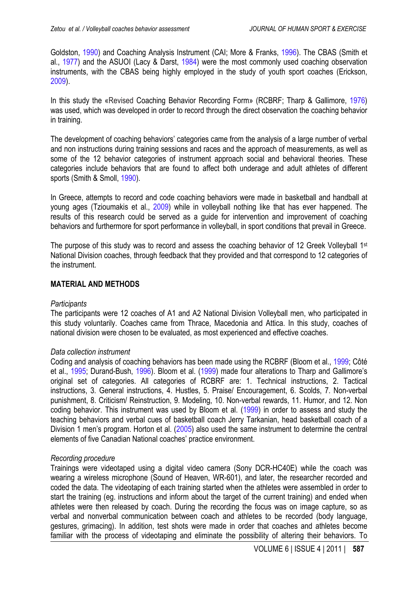<span id="page-2-0"></span>Goldston, [1990\)](#page-7-0) and Coaching Analysis Instrument (CAI; More & Franks, [1996\)](#page-7-0). The CBAS (Smith et al., [1977\)](#page-7-0) and the ASUOI (Lacy & Darst, [1984](#page-6-0)) were the most commonly used coaching observation instruments, with the CBAS being highly employed in the study of youth sport coaches (Erickson, [2009\)](#page-6-0).

[In thi](#page-6-0)s study the «Revised Coaching Behavior Recording Form» (RCBRF; Tharp & Gallimore, [1976](#page-7-0)) was used, which was developed in order to record through the direct observation the coaching behavior in training.

The development of coaching behaviors' categories came from the analysis of a large number of verbal and non instructions during training sessions and races and the approach of measurements, as well as some of the 12 behavior categories of instrument approach social and behavioral theories. These categories include behaviors that are found to affect both underage and adult athletes of different sports (Smith & Smoll, [1990\)](#page-7-0).

In Greece, attempts to record and code coaching behaviors were made in basketball and handball at young ages (Tzioumakis et al., [2009](#page-8-0)) while in volleyball nothing like that has ever happened. The results of this research could be served as a guide for intervention and improvement of coaching behaviors and furthermore for sport performance in volleyball, in sport conditions that prevail in Greece.

The purpose of this study was to record and assess the coaching behavior of 12 Greek Volleyball 1<sup>st</sup> National Division coaches, through feedback that they provided and that correspond to 12 categories of the instrument.

#### **MATERIAL AND METHODS**

#### *Participants*

The participants were 12 coaches of A1 and A2 National Division Volleyball men, who participated in this study voluntarily. Coaches came from Thrace, Macedonia and Attica. In this study, coaches of national division were chosen to be evaluated, as most experienced and effective coaches.

#### *Data collection instrument*

Coding and analysis of coaching behaviors has been made using the RCBRF (Bloom et al., [1999;](#page-6-0) Côté et al., [1995;](#page-6-0) Durand-Bush, [1996](#page-6-0)). Bloom et al. ([1999\)](#page-6-0) made four alterations to Tharp and Gallimore's original set of categories. All categories of RCBRF are: 1. Technical instructions, 2. Tactical instructions, 3. General instructions, 4. Hustles, 5. Praise/ Encouragement, 6. Scolds, 7. Non-verbal punishment, 8. Criticism/ Reinstruction, 9. Modeling, 10. Non-verbal rewards, 11. Humor, and 12. Non coding behavior. This instrument was used by Bloom et al. [\(1999](#page-6-0)) in order to assess and study the teaching behaviors and verbal cues of basketball coach Jerry Tarkanian, head basketball coach of a Division 1 men's program. Horton et al. [\(2005](#page-6-0)) also used the same instrument to determine the central elements of five Canadian National coaches' practice environment.

#### *Recording procedure*

Trainings were videotaped using a digital video camera (Sony DCR-HC40E) while the coach was wearing a wireless microphone (Sound of Heaven, WR-601), and later, the researcher recorded and coded the data. The videotaping of each training started when the athletes were assembled in order to start the training (eg. instructions and inform about the target of the current training) and ended when athletes were then released by coach. During the recording the focus was on image capture, so as verbal and nonverbal communication between coach and athletes to be recorded (body language, gestures, grimacing). In addition, test shots were made in order that coaches and athletes become familiar with the process of videotaping and eliminate the possibility of altering their behaviors. To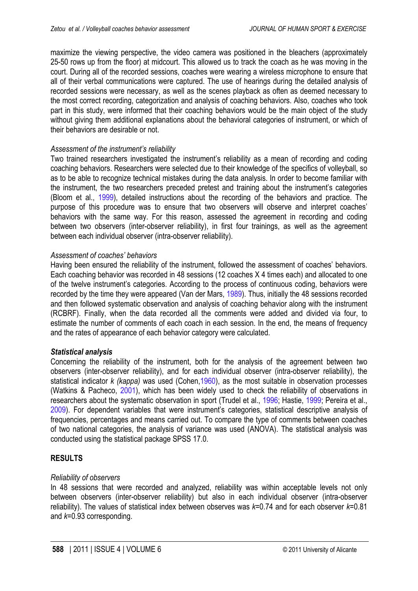<span id="page-3-0"></span>maximize the viewing perspective, the video camera was positioned in the bleachers (approximately 25-50 rows up from the floor) at midcourt. This allowed us to track the coach as he was moving in the court. During all of the recorded sessions, coaches were wearing a wireless microphone to ensure that all of their verbal communications were captured. The use of hearings during the detailed analysis of recorded sessions were necessary, as well as the scenes playback as often as deemed necessary to the most correct recording, categorization and analysis of coaching behaviors. Also, coaches who took part in this study, were informed that their coaching behaviors would be the main object of the study without giving them additional explanations about the behavioral categories of instrument, or which of their behaviors are desirable or not.

## *Assessment of the instrument's reliability*

Two trained researchers investigated the instrument's reliability as a mean of recording and coding coaching behaviors. Researchers were selected due to their knowledge of the specifics of volleyball, so as to be able to recognize technical mistakes during the data analysis. In order to become familiar with the instrument, the two researchers preceded pretest and training about the instrument's categories (Bloom et al., [1999\)](#page-6-0), detailed instructions about the recording of the behaviors and practice. The purpose of this procedure was to ensure that two observers will observe and interpret coaches' behaviors with the same way. For this reason, assessed the agreement in recording and coding between two observers (inter-observer reliability), in first four trainings, as well as the agreement between each individual observer (intra-observer reliability).

## *Assessment of coaches' behaviors*

Having been ensured the reliability of the instrument, followed the assessment of coaches' behaviors. Each coaching behavior was recorded in 48 sessions (12 coaches Χ 4 times each) and allocated to one of the twelve instrument's categories. According to the process of continuous coding, behaviors were recorded by the time they were appeared (Van der Mars, [1989\)](#page-8-0). Thus, initially the 48 sessions recorded and then followed systematic observation and analysis of coaching behavior along with the instrument (RCBRF). Finally, when the data recorded all the comments were added and divided via four, to estimate the number of comments of each coach in each session. In the end, the means of frequency and the rates of appearance of each behavior category were calculated.

## *Statistical analysis*

Concerning the reliability of the instrument, both for the analysis of the agreement between two observers (inter-observer reliability), and for each individual observer (intra-observer reliability), the statistical indicator *k (kappa)* was used (Cohen[,1960](#page-6-0)), as the most suitable in observation processes (Watkins & Pacheco, [2001](#page-8-0)), which has been widely used to check the reliability of observations in researchers about the systematic observation in sport (Trudel et al., [1996](#page-8-0); Hastie, [1](#page-6-0)[999;](#page-7-0) Pereira et al., [2009\)](#page-7-0). For dependent variables that were instrument's categories, statistical descriptive analysis of frequencies, percentages and means carried out. To compare the type of comments between coaches of two national categories, the analysis of variance was used (ANOVA). The statistical analysis was conducted using the statistical package SPSS 17.0.

## **RESULTS**

## *Reliability of observers*

In 48 sessions that were recorded and analyzed, reliability was within acceptable levels not only between observers (inter-observer reliability) but also in each individual observer (intra-observer reliability). The values of statistical index between observes was *k*=0.74 and for each observer *k*=0.81 and *k*=0.93 corresponding.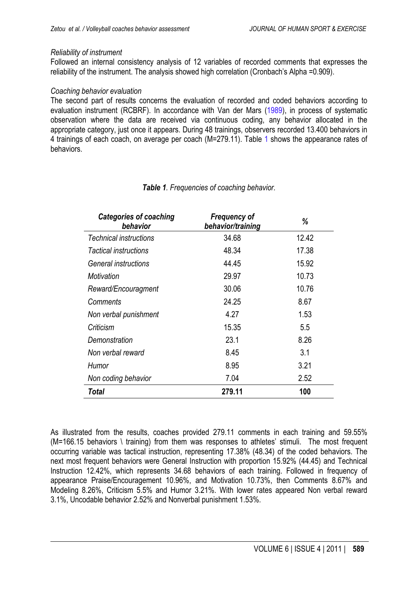#### *Reliability of instrument*

Followed an internal consistency analysis of 12 variables of recorded comments that expresses the reliability of the instrument. The analysis showed high correlation (Cronbach's Alpha =0.909).

#### *Coaching behavior evaluation*

The second part of results concerns the evaluation of recorded and coded behaviors according to evaluation instrument (RCBRF). In accordance with Van der Mars [\(1989](#page-8-0)), in process of systematic observation where the data are received via continuous coding, any behavior allocated in the appropriate category, just once it appears. During 48 trainings, observers recorded 13.400 behaviors in 4 trainings of each coach, on average per coach (Μ=279.11). Table 1 shows the appearance rates of behaviors.

| <b>Categories of coaching</b><br>behavior | <b>Frequency of</b><br>behavior/training | %     |
|-------------------------------------------|------------------------------------------|-------|
| <b>Technical instructions</b>             | 34.68                                    | 12.42 |
| Tactical instructions                     | 48.34                                    | 17.38 |
| General instructions                      | 44.45                                    | 15.92 |
| Motivation                                | 29.97                                    | 10.73 |
| Reward/Encouragment                       | 30.06                                    | 10.76 |
| Comments                                  | 24.25                                    | 8.67  |
| Non verbal punishment                     | 4.27                                     | 1.53  |
| Criticism                                 | 15.35                                    | 5.5   |
| Demonstration                             | 23.1                                     | 8.26  |
| Non verbal reward                         | 8.45                                     | 3.1   |
| Humor                                     | 8.95                                     | 3.21  |
| Non coding behavior                       | 7.04                                     | 2.52  |
| Total                                     | 279.11                                   | 100   |

## *Table 1. Frequencies of coaching behavior.*

As illustrated from the results, coaches provided 279.11 comments in each training and 59.55% (Μ=166.15 behaviors \ training) from them was responses to athletes' stimuli. The most frequent occurring variable was tactical instruction, representing 17.38% (48.34) of the coded behaviors. The next most frequent behaviors were General Instruction with proportion 15.92% (44.45) and Technical Instruction 12.42%, which represents 34.68 behaviors of each training. Followed in frequency of appearance Praise/Encouragement 10.96%, and Motivation 10.73%, then Comments 8.67% and Modeling 8.26%, Criticism 5.5% and Humor 3.21%. With lower rates appeared Non verbal reward 3.1%, Uncodable behavior 2.52% and Nonverbal punishment 1.53%.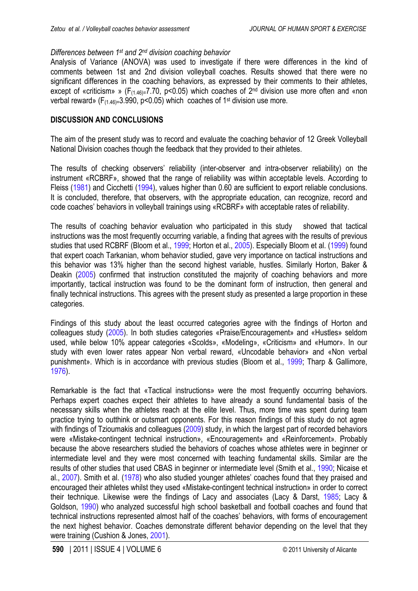#### <span id="page-5-0"></span>*Differences between 1st and 2nd division coaching behavior*

Analysis of Variance (ANOVA) was used to investigate if there were differences in the kind of comments between 1st and 2nd division volleyball coaches. Results showed that there were no significant differences in the coaching behaviors, as expressed by their comments to their athletes, except of «criticism» » ( $F_{(1.46)=7.70, p<0.05}$ ) which coaches of  $2^{nd}$  division use more often and «non verbal reward» ( $F_{(1.46)=}3.990$ , p<0.05) which coaches of 1<sup>st</sup> division use more.

#### **DISCUSSION AND CONCLUSIONS**

The aim of the present study was to record and evaluate the coaching behavior of 12 Greek Volleyball National Division coaches though the feedback that they provided to their athletes.

The results of checking observers' reliability (inter-observer and intra-observer reliability) on the instrument «RCBRF», showed that the range of reliability was within acceptable levels. According to Fleiss [\(1981\)](#page-6-0) and Cicchetti ([1994\)](#page-6-0), values higher than 0.60 are sufficient to export reliable conclusions. It is concluded, therefore, that observers, with the appropriate education, can recognize, record and code coaches' behaviors in volleyball trainings using «RCBRF» with acceptable rates of reliability.

The results of coaching behavior evaluation who participated in this study showed that tactical instructions was the most frequently occurring variable, a finding that agrees with the results of previous studies that used RCBRF (Bloom et al., [1999](#page-6-0); Horton et al., [2005](#page-6-0)). Especially Bloom et al. ([1999](#page-6-0)) found that expert coach Tarkanian, whom behavior studied, gave very importance on tactical instructions and this behavior was 13% higher than the second highest variable, hustles. Similarly Horton, Baker & Deakin [\(2005](#page-6-0)) confirmed that instruction constituted the majority of coaching behaviors and more importantly, tactical instruction was found to be the dominant form of instruction, then general and finally technical instructions. This agrees with the present study as presented a large proportion in these categories.

Findings of this study about the least occurred categories agree with the findings of Horton and colleagues study [\(2005](#page-6-0)). In both studies categories «Praise/Encouragement» and «Hustles» seldom used, while below 10% appear categories «Scolds», «Modeling», «Criticism» and «Humor». In our study with even lower rates appear Non verbal reward, «Uncodable behavior» and «Non verbal punishment». Which is in accordance with previous studies (Bloom et al., [1999;](#page-6-0) Tharp & Gallimore, [1976\)](#page-7-0).

Remarkable is the fact that «Tactical instructions» were the most frequently occurring behaviors. Perhaps expert coaches expect their athletes to have already a sound fundamental basis of the necessary skills when the athletes reach at the elite level. Thus, more time was spent during team practice trying to outthink or outsmart opponents. For this reason findings of this study do not agree with findings of Tzioumakis and colleagues ([2009](#page-8-0)) study, in which the largest part of recorded behaviors were «Mistake-contingent technical instruction», «Encouragement» and «Reinforcement». Probably because the above researchers studied the behaviors of coaches whose athletes were in beginner or intermediate level and they were most concerned with teaching fundamental skills. Similar are the results of other studies that used CBAS in beginner or intermediate level (Smith et al., [1990](#page-7-0); Nicaise et al., [2007](#page-7-0)). Smith et al. ([1978\)](#page-7-0) who also studied younger athletes' coaches found that they praised and encouraged their athletes whilst they used «Mistake-contingent technical instruction» in order to correct their technique. Likewise were the findings of Lacy and associates (Lacy & Darst, [1985;](#page-7-0) Lacy & Goldson, [1990](#page-7-0)) who analyzed successful high school basketball and football coaches and found that technical instructions represented almost half of the coaches' behaviors, with forms of encouragement the next highest behavior. Coaches demonstrate different behavior depending on the level that they were training (Cushion & Jones[, 2001](#page-6-0)).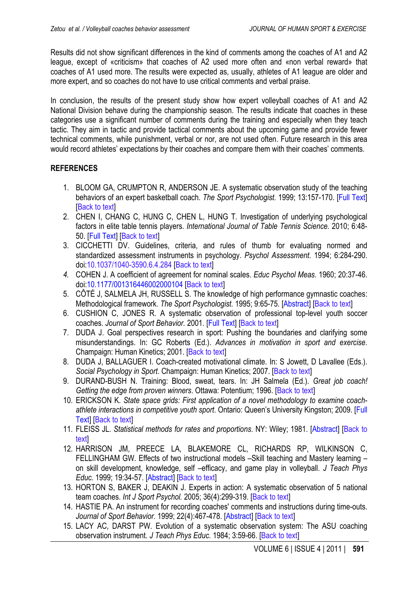<span id="page-6-0"></span>Results did not show significant differences in the kind of comments among the coaches of A1 and A2 league, except of «criticism» that coaches of A2 used more often and «non verbal reward» that coaches of A1 used more. The results were expected as, usually, athletes of A1 league are older and more expert, and so coaches do not have to use critical comments and verbal praise.

In conclusion, the results of the present study show how expert volleyball coaches of A1 and A2 National Division behave during the championship season. The results indicate that coaches in these categories use a significant number of comments during the training and especially when they teach tactic. They aim in tactic and provide tactical comments about the upcoming game and provide fewer technical comments, while punishment, verbal or nor, are not used often. Future research in this area would record athletes' expectations by their coaches and compare them with their coaches' comments.

## **REFERENCES**

- 1. BLOOM GA, CRUMPTON R, ANDERSON JE. A systematic observation study of the teaching behaviors of an expert basketball coach. *The Sport Psychologist.* 1999; 13:157-170. [\[Full Text\]](http://sportpsych.mcgill.ca/pdf/publications/Systemic_Observation_Study_1999.pdf) [[Back to text](#page-2-0)]
- 2. CHEN I, CHANG C, HUNG C, CHEN L, HUNG T. Investigation of underlying psychological factors in elite table tennis players. *International Journal of Table Tennis Science.* 2010; 6:48- 50. [\[Full Text\]](http://www.ittf.com/ittf_science/SSCenter/Int_Journal6/docs/_048.pdf) [\[Back to text\]](#page-1-0)
- 3. CICCHETTI DV. Guidelines, criteria, and rules of thumb for evaluating normed and standardized assessment instruments in psychology. *Psychol Assessment*. 1994; 6:284-290. doi[:10.1037/1040-3590.6.4.284](http://psycnet.apa.org/doi/10.1037/1040-3590.6.4.284) [\[Back to text\]](#page-5-0)
- *4.* COHEN J. A coefficient of agreement for nominal scales. *Educ Psychol Meas*. 1960; 20:37-46. doi[:10.1177/001316446002000104](http://dx.doi.org/10.1177/001316446002000104) [\[Back to text\]](#page-3-0)
- 5. CÔTÉ J, SALMELA JH, RUSSELL S. The knowledge of high performance gymnastic coaches: Methodological framework. *The Sport Psychologist.* 1995; 9:65-75. [\[Abstract\]](http://www.mendeley.com/research/knowledge-highperformance-gymnastic-coaches-competition-training-considerations/) [\[Back to text\]](#page-2-0)
- 6. CUSHION C, JONES R. A systematic observation of professional top-level youth soccer coaches. *Journal of Sport Behavior.* 2001. [\[Full Text\]](http://findarticles.com/p/articles/mi_hb6401/is_4_24/ai_n28876813/) [[Back to text](#page-1-0)]
- 7. DUDA J. Goal perspectives research in sport: Pushing the boundaries and clarifying some misunderstandings. In: GC Roberts (Ed.). *Advances in motivation in sport and exercise*. Champaign: Human Kinetics; 2001. [\[Back to text\]](#page-1-0)
- 8. DUDA J, BALLAGUER I. Coach-created motivational climate. In: S Jowett, D Lavallee (Eds.). *Social Psychology in Sport*. Champaign: Human Kinetics; 2007. [\[Back to text\]](#page-1-0)
- 9. DURAND-BUSH N. Training: Blood, sweat, tears. In: JH Salmela (Ed.). *Great job coach! Getting the edge from proven winners*. Ottawa: Potentium; 1996. [[Back to text](#page-2-0)]
- 10. ERICKSON K. *State space grids: First application of a novel methodology to examine coachathlete interactions in competitive youth sport*. Ontario: Queen's University Kingston; 2009. [\[Full](http://qspace.library.queensu.ca/bitstream/1974/5357/1/Erickson_Karl_T_200912_MA.pdf)  [Text\]](http://qspace.library.queensu.ca/bitstream/1974/5357/1/Erickson_Karl_T_200912_MA.pdf) [\[Back to text\]](#page-1-0)
- 11. FLEISS JL. *Statistical methods [for rates and proportions](#page-5-0)*. NY: Wiley; 1981. [\[Abstract\]](http://books.google.es/books?id=ngWWd7lk3B8C&dq=Statistical+methods+for+rates+and+proportions&hl=es&sa=X&ei=UWnqTsW_HtKBhQe-7qihAw&ved=0CC8Q6AEwAA) [Back to text]
- 12. HARRISON JM, PREECE LA, BLAKEMORE CL, RICHARDS RP, WILKINSON C, FELLINGHAM GW. Effects of two instructional models –Skill teaching and Mastery learning – on skill development, knowledge, self –efficacy, and game play in volleyball. *J Teach Phys Educ.* 1999; 19:34-57. [\[Abstract\]](http://journals.humankinetics.com/jtpe-back-issues/jtpevolume19issue1october/effectsoftwoinstructionalmodelsskillteachingandmasterylearningnonskilldevelopmentknowledgeselfefficacyandgameplayinvolleyball) [[Back to text](#page-1-0)]
- 13. HORTON S, BAKER J, DEAKIN J. Experts in action: A systematic observation of 5 national team coaches. *Int J Sport Psychol.* 2005; 36(4):299-319. [[Back to text](#page-2-0)]
- 14. HASTIE PA. An instrument for recording coaches' comments and instructions during time-outs. *Journal of Sport Behavior.* 1999; 22(4):467-478. [\[Abstract\]](http://www.questia.com/googleScholar.qst?docId=5002344070) [\[Back to text\]](#page-3-0)
- 15. LACY AC, DARST PW. Evolution of a systematic observation system: The ASU coaching observation instrument. *J Teach Phys Educ.* 1984; 3:59-66. [\[Back to text\]](#page-1-0)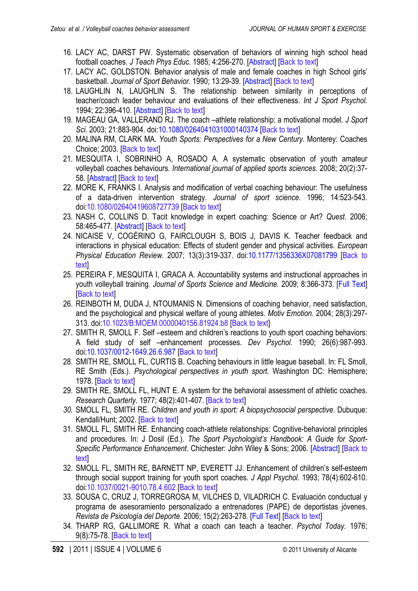- <span id="page-7-0"></span>16. LACY AC, DARST PW. Systematic observation of behaviors of winning high school head football coaches. *J Teach Phys Educ.* 1985; 4:256-270. [\[Abstract\]](http://journals.humankinetics.com/jtpe-back-issues/JTPEVolume4Issue4July/SystematicObservationofBehaviorsofWinningHighSchoolHeadFootballCoaches) [\[Back to text\]](#page-1-0)
- 17. LACY AC, GOLDSTON. Behavior analysis of male and female coaches in high School girls' basketball. *Journal of Sport Behavior*. 1990; 13:29-39. [\[Abstract\]](http://www.getcited.org/pub/103343393) [\[Back to text\]](#page-2-0)
- 18. LAUGHLIN N, LAUGHLIN S. The relationship between similarity in perceptions of teacher/coach leader behaviour and evaluations of their effectiveness. *Int J Sport Psychol.* 1994; 22:396-410. [\[Abstract\]](http://psycnet.apa.org/psycinfo/1995-38946-001) [[Back to text](#page-1-0)]
- 19. MAGEAU GA, VALLERAND RJ. The coach –athlete relationship: a motivational model. *J Sport Sci.* 2003; 21:883-904. doi[:10.1080/0264041031000140374](http://dx.doi.org/10.1080/0264041031000140374) [\[Back to text\]](#page-1-0)
- 20. MALINA RM, CLARK MA. *Youth Sports: Perspectives for a New Century*. Monterey: Coaches Choice; 2003. [\[Back to text\]](#page-1-0)
- 21. MESQUITA I, SOBRINHO A, ROSADO A. A systematic observation of youth amateur volleyball coaches behaviours. *International journal of applied sports sciences.* 2008; 20(2):37- 58. [\[Abstract\]](http://www.mendeley.com/research/systematic-observation-youth-amateur-volleyball-coaches-behaviours/) [\[Back to text\]](#page-1-0)
- 22. MORE K, FRANKS I. Analysis and modification of verbal coaching behaviour: The usefulness of a data-driven intervention strategy. *Journal of sport science*. 1996; 14:523-543. doi[:10.1080/02640419608727739](http://dx.doi.org/10.1080/02640419608727739) [[Back to text](#page-2-0)]
- 23. NASH C, COLLINS D. Tacit knowledge in expert coaching: Science or Art? *Quest.* 2006; 58:465-477. [\[Abstract\]](http://eric.ed.gov/ERICWebPortal/search/detailmini.jsp?_nfpb=true&_&ERICExtSearch_SearchValue_0=EJ804519&ERICExtSearch_SearchType_0=no&accno=EJ804519) [\[Back to text\]](#page-1-0)
- 24. NICAISE V, COGĖRINO G, FAIRCLOUGH S, BOIS J, DAVIS K. Teacher feedback and interactions in physical education: Effects of student gender and physical activities. *European Physical Education Review.* 2007; 13(3):319-337. doi[:10.1177/1356336X07081799](http://dx.doi.org/10.1177/1356336X07081799) [[Back to](#page-5-0) [text\]](#page-5-0)
- 25. PEREIRA F, MESQUITA I, GRACA A. Accountability systems and instructional approaches in youth volleyball training. *Journal of Sports Science and Medicine.* 2009; 8:366-373. [\[Full Text\]](http://www.jssm.org/vol8/n3/8/v8n3-8pdf.pdf) **[[Back to text](#page-3-0)]**
- 26. REINBOTH M, DUDA J, NTOUMANIS N. Dimensions of coaching behavior, need satisfaction, and the psychological and physical welfare of young athletes. *Motiv Emotion.* 2004; 28(3):297- 313. doi[:10.1023/B:MOEM.0000040156.81924.b8](http://dx.doi.org/10.1023/B:MOEM.0000040156.81924.b8) [[Back to text](#page-1-0)]
- 27. SMITH R, SMOLL F. Self –esteem and children's reactions to youth sport coaching behaviors: A field study of self –enhancement processes. *Dev Psychol.* 1990; 26(6):987-993. doi[:10.1037/0012-1649.26.6.987](http://dx.doi.org/10.1037/0012-1649.26.6.987) [[Back to text](#page-1-0)]
- 28. SMITH RE, SMOLL FL, CURTIS B. Coaching behaviours in little league baseball. In: FL Smoll, RE Smith (Eds.). *Psychological perspectives in youth sport*. Washington DC: Hemisphere; 1978. [\[Back to text\]](#page-1-0)
- 29. SMITH RE, SMOLL FL, HUNT E. A system for the behavioral assessment of athletic coaches. *Research Quarterly.* 1977; 48(2):401-407. [\[Back to text\]](#page-1-0)
- *30.* SMOLL FL, SMITH RE. *Children and youth in sport: A biopsychosocial perspective*. Dubuque: Kendall/Hunt; 2002. [[Back to text](#page-1-0)]
- 31. SMOLL FL, SMITH RE. Enhancing coach-athlete relationships: Cognitive-behavioral principles and procedures. In: J Dosil (Ed.). *The Sport Psychologist's Handbook: A Guide for Sport-Specific Performance Enhancement*. Chichester: John Wiley & Sons; 2006. [\[Abstract\]](http://books.google.es/books?id=yeeps5hD7XQC&printsec=frontcover&dq=The+Sport+Psychologist%E2%80%99s+Handbook:+A+Guide+for+Sport-Specific+Performance+Enhancement&hl=es&sa=X&ei=lWrrTuKABtKYhQfk5IHNCA&ved=0CDIQ6AEwAA#v=onepage&q=The%20Sport%20Psychologist%E2%80%99s%20Handbook%3A%20A%20Guide%20for%20Sport-Specific%20Performance%20Enhancement&f=false) [\[Back to](#page-1-0) **text**
- 32. SMOLL FL, SMITH RE, BARNETT NP, EVERETT JJ. Enhancement of children's self-esteem through social support training for youth sport coaches*. J Appl Psychol.* 1993; 78(4):602-610. doi[:10.1037/0021-9010.78.4.602](http://psycnet.apa.org/doi/10.1037/0021-9010.78.4.602) [[Back to text\]](#page-1-0)
- 33. SOUSA C, CRUZ J, TORREGROSA M, VILCHES D, VILADRICH C. Evaluación conductual y programa de asesoramiento personalizado a entrenadores (PAPE) de deportistas jóvenes. *Revista de Psicología del Deporte.* 2006; 15(2):263-278. [\[Full Text\]](http://ddd.uab.cat/pub/revpsidep/19885636v15n2p263.pdf) [\[Back to text\]](#page-1-0)
- 34. THARP RG, GALLIMORE R. What a coach can teach a teacher. *Psychol Today.* 1976; 9(8):75-78. [[Back to text](#page-1-0)]